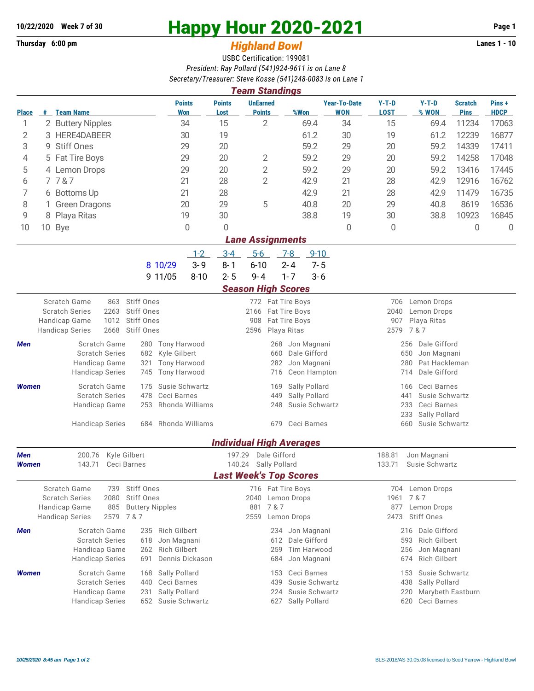## **Thursday 6:00 pm** *Highland Bowl*

## **10/22/2020** Week 7 of 30<br>
Thursday 6:00 pm<br> **Happy Hour 2020-2021** Page 1<br> **Highland Rowl**

## USBC Certification: 199081 *President: Ray Pollard (541)924-9611 is on Lane 8 Secretary/Treasurer: Steve Kosse (541)248-0083 is on Lane 1*

| <b>Team Standings</b>   |                                   |                                                         |                                                            |                             |                       |                                            |                                 |                                            |                                                 |                                           |                               |                      |  |  |  |
|-------------------------|-----------------------------------|---------------------------------------------------------|------------------------------------------------------------|-----------------------------|-----------------------|--------------------------------------------|---------------------------------|--------------------------------------------|-------------------------------------------------|-------------------------------------------|-------------------------------|----------------------|--|--|--|
| <b>Place</b>            |                                   | # Team Name                                             |                                                            | <b>Points</b><br><b>Won</b> | <b>Points</b><br>Lost | <b>UnEarned</b><br><b>Points</b>           | %Won                            | <b>Year-To-Date</b><br><b>WON</b>          | $Y-T-D$<br><b>LOST</b>                          | $Y-T-D$<br>% WON                          | <b>Scratch</b><br><b>Pins</b> | Pins+<br><b>HDCP</b> |  |  |  |
| 1                       |                                   | 2 Buttery Nipples                                       | 34                                                         |                             | 15                    | $\overline{2}$                             | 69.4                            | 34                                         | 15                                              | 69.4                                      | 11234                         | 17063                |  |  |  |
| 2                       | 3                                 | HERE4DABEER<br>30                                       |                                                            | 19                          |                       | 61.2                                       | 30                              | 19                                         | 61.2                                            | 12239                                     | 16877                         |                      |  |  |  |
| 3                       | 9.                                | <b>Stiff Ones</b><br>29                                 |                                                            |                             | 20                    |                                            | 59.2                            | 29                                         | 20                                              | 59.2                                      | 14339                         | 17411                |  |  |  |
| 4                       |                                   | 5 Fat Tire Boys<br>29                                   |                                                            | 20                          | 2                     | 59.2                                       | 29                              | 20                                         | 59.2                                            | 14258                                     | 17048                         |                      |  |  |  |
| 5                       |                                   | 29<br>4 Lemon Drops                                     |                                                            |                             | 20                    | $\overline{2}$                             | 59.2                            | 29                                         | 20                                              | 59.2                                      | 13416                         | 17445                |  |  |  |
| 6                       |                                   | 7787                                                    |                                                            | 21                          | 28                    | $\overline{2}$                             | 42.9                            | 21                                         | 28                                              | 42.9                                      | 12916                         | 16762                |  |  |  |
| 7                       |                                   | 6 Bottoms Up                                            |                                                            | 21                          | 28                    |                                            | 42.9                            | 21                                         | 28                                              | 42.9                                      | 11479                         | 16735                |  |  |  |
| 8                       |                                   | <b>Green Dragons</b>                                    |                                                            | 20                          | 29                    | 5                                          | 40.8                            | 20                                         | 29                                              | 40.8                                      | 8619                          | 16536                |  |  |  |
| 9                       | 8                                 | 19<br>Playa Ritas                                       |                                                            |                             | 30                    |                                            | 38.8                            | 19                                         | 30                                              | 38.8                                      | 10923                         | 16845                |  |  |  |
| 10                      |                                   | 10 Bye<br>0                                             |                                                            |                             | 0                     |                                            |                                 | 0                                          | 0                                               |                                           | 0                             | $\overline{0}$       |  |  |  |
| <b>Lane Assignments</b> |                                   |                                                         |                                                            |                             |                       |                                            |                                 |                                            |                                                 |                                           |                               |                      |  |  |  |
|                         |                                   |                                                         |                                                            | $1 - 2$                     | $3-4$                 | $5-6$                                      | $7 - 8$<br>$9 - 10$             |                                            |                                                 |                                           |                               |                      |  |  |  |
|                         |                                   |                                                         | 8 10/29                                                    | $3 - 9$                     | $8 - 1$               | $6 - 10$                                   | $2 - 4$<br>$7 - 5$              |                                            |                                                 |                                           |                               |                      |  |  |  |
|                         |                                   |                                                         | 9 11/05                                                    | $8 - 10$                    | $2 - 5$               | $9 - 4$                                    | $1 - 7$<br>$3 - 6$              |                                            |                                                 |                                           |                               |                      |  |  |  |
|                         | <b>Season High Scores</b>         |                                                         |                                                            |                             |                       |                                            |                                 |                                            |                                                 |                                           |                               |                      |  |  |  |
|                         | Scratch Game<br>863<br>Stiff Ones |                                                         |                                                            |                             |                       |                                            | 772 Fat Tire Boys               |                                            | 706<br>Lemon Drops                              |                                           |                               |                      |  |  |  |
|                         |                                   | <b>Scratch Series</b><br>2263                           | Stiff Ones<br>Stiff Ones                                   |                             |                       | 2166 Fat Tire Boys<br>908<br>Fat Tire Boys |                                 |                                            | 2040<br>907                                     | Lemon Drops                               |                               |                      |  |  |  |
|                         |                                   | Handicap Game<br>1012<br>2668<br><b>Handicap Series</b> | Stiff Ones                                                 |                             |                       | 2596<br>Playa Ritas                        |                                 |                                            |                                                 | Playa Ritas<br>2579<br>7 & 7              |                               |                      |  |  |  |
| Men                     |                                   | Scratch Game                                            |                                                            | 280 Tony Harwood            |                       | 268                                        | Jon Magnani                     |                                            | 256<br>Dale Gifford                             |                                           |                               |                      |  |  |  |
|                         |                                   | <b>Scratch Series</b>                                   | Kyle Gilbert                                               |                             | 660                   | Dale Gifford                               |                                 | 650<br>Jon Magnani                         |                                                 |                                           |                               |                      |  |  |  |
|                         |                                   | Handicap Game                                           | <b>Tony Harwood</b>                                        |                             | 282<br>Jon Magnani    |                                            |                                 |                                            | Pat Hackleman<br>280                            |                                           |                               |                      |  |  |  |
|                         |                                   | <b>Handicap Series</b>                                  | 745                                                        | <b>Tony Harwood</b>         |                       | Ceon Hampton<br>716                        |                                 |                                            |                                                 | Dale Gifford<br>714                       |                               |                      |  |  |  |
| <b>Women</b>            |                                   | Scratch Game                                            | Susie Schwartz                                             |                             | 169                   | Sally Pollard                              |                                 | Ceci Barnes<br>166                         |                                                 |                                           |                               |                      |  |  |  |
|                         |                                   | <b>Scratch Series</b>                                   | Ceci Barnes<br>478<br>253                                  |                             |                       | 449                                        | Sally Pollard                   |                                            | Susie Schwartz<br>441                           |                                           |                               |                      |  |  |  |
|                         |                                   | Handicap Game                                           | Rhonda Williams                                            |                             | 248                   | Susie Schwartz                             |                                 | 233<br>Ceci Barnes<br>Sally Pollard<br>233 |                                                 |                                           |                               |                      |  |  |  |
|                         |                                   | <b>Handicap Series</b>                                  | Rhonda Williams                                            |                             | 679                   | Ceci Barnes                                |                                 |                                            | Susie Schwartz<br>660                           |                                           |                               |                      |  |  |  |
| 684                     |                                   |                                                         |                                                            |                             |                       |                                            |                                 |                                            |                                                 |                                           |                               |                      |  |  |  |
| Men                     |                                   | Kyle Gilbert<br>200.76                                  |                                                            |                             | 197.29                | Dale Gifford                               | <b>Individual High Averages</b> |                                            | 188.81                                          | Jon Magnani                               |                               |                      |  |  |  |
| <b>Women</b>            |                                   | 143.71<br>Ceci Barnes                                   |                                                            |                             | 140.24                | Sally Pollard                              |                                 |                                            | 133.71<br>Susie Schwartz                        |                                           |                               |                      |  |  |  |
|                         |                                   |                                                         |                                                            |                             |                       |                                            | <b>Last Week's Top Scores</b>   |                                            |                                                 |                                           |                               |                      |  |  |  |
|                         |                                   | Scratch Game<br>739                                     | Stiff Ones                                                 |                             |                       |                                            | 716 Fat Tire Boys               |                                            | 704                                             | Lemon Drops                               |                               |                      |  |  |  |
|                         |                                   | <b>Scratch Series</b><br>2080                           | Stiff Ones                                                 |                             |                       | 2040 Lemon Drops                           |                                 |                                            | 1961                                            | 7 & 7                                     |                               |                      |  |  |  |
|                         |                                   | Handicap Game<br>885<br><b>Handicap Series</b><br>2579  | 7&7                                                        | <b>Buttery Nipples</b>      |                       | 7 & 7<br>881<br>2559<br>Lemon Drops        |                                 |                                            | 877<br>Lemon Drops<br><b>Stiff Ones</b><br>2473 |                                           |                               |                      |  |  |  |
|                         |                                   |                                                         |                                                            |                             |                       |                                            |                                 |                                            |                                                 |                                           |                               |                      |  |  |  |
| Men                     |                                   | Scratch Game<br><b>Scratch Series</b>                   | 235<br>618                                                 | <b>Rich Gilbert</b>         |                       | 234<br>612                                 | Jon Magnani<br>Dale Gifford     |                                            | 593                                             | Dale Gifford<br>216<br>Rich Gilbert       |                               |                      |  |  |  |
|                         |                                   |                                                         | Jon Magnani<br><b>Rich Gilbert</b><br>Handicap Game<br>262 |                             |                       | 259                                        | Tim Harwood                     |                                            | 256                                             |                                           |                               |                      |  |  |  |
|                         |                                   | Dennis Dickason<br><b>Handicap Series</b><br>691        |                                                            |                             |                       | 684                                        | Jon Magnani                     |                                            |                                                 | Jon Magnani<br><b>Rich Gilbert</b><br>674 |                               |                      |  |  |  |
| <b>Women</b>            |                                   | Scratch Game                                            | 168                                                        | Sally Pollard               |                       | 153                                        | Ceci Barnes                     |                                            | 153                                             | Susie Schwartz                            |                               |                      |  |  |  |
|                         |                                   | <b>Scratch Series</b>                                   | 440                                                        | Ceci Barnes                 |                       | 439                                        | Susie Schwartz                  |                                            | 438                                             |                                           |                               |                      |  |  |  |
|                         |                                   | Handicap Game                                           | Sally Pollard<br>231                                       |                             | 224                   | Susie Schwartz                             |                                 | 220                                        |                                                 |                                           |                               |                      |  |  |  |
|                         |                                   | <b>Handicap Series</b>                                  | 652                                                        | Susie Schwartz              |                       | 627                                        | Sally Pollard                   |                                            | 620<br>Ceci Barnes                              |                                           |                               |                      |  |  |  |